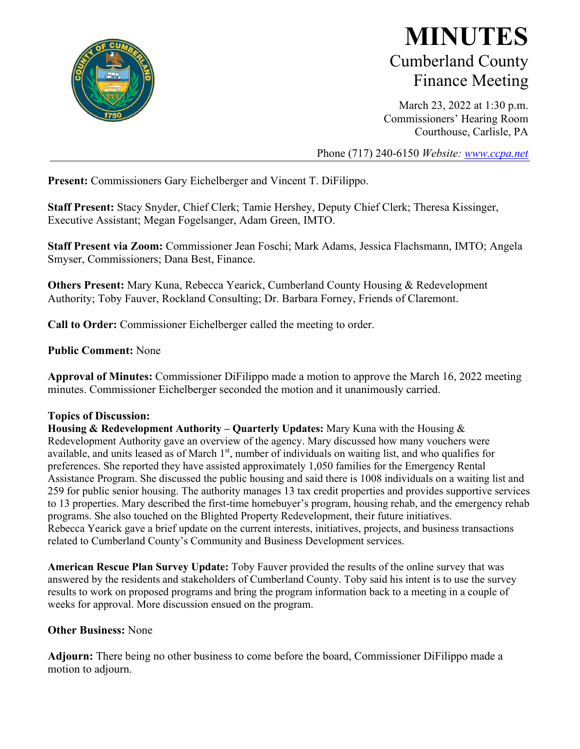

## **MINUTES** Cumberland County Finance Meeting

March 23, 2022 at 1:30 p.m. Commissioners' Hearing Room Courthouse, Carlisle, PA

Phone (717) 240-6150 *Website: [www.ccpa.net](http://www.ccpa.net/)*

**Present:** Commissioners Gary Eichelberger and Vincent T. DiFilippo.

**Staff Present:** Stacy Snyder, Chief Clerk; Tamie Hershey, Deputy Chief Clerk; Theresa Kissinger, Executive Assistant; Megan Fogelsanger, Adam Green, IMTO.

**Staff Present via Zoom:** Commissioner Jean Foschi; Mark Adams, Jessica Flachsmann, IMTO; Angela Smyser, Commissioners; Dana Best, Finance.

**Others Present:** Mary Kuna, Rebecca Yearick, Cumberland County Housing & Redevelopment Authority; Toby Fauver, Rockland Consulting; Dr. Barbara Forney, Friends of Claremont.

**Call to Order:** Commissioner Eichelberger called the meeting to order.

## **Public Comment:** None

**Approval of Minutes:** Commissioner DiFilippo made a motion to approve the March 16, 2022 meeting minutes. Commissioner Eichelberger seconded the motion and it unanimously carried.

## **Topics of Discussion:**

**Housing & Redevelopment Authority – Quarterly Updates:** Mary Kuna with the Housing & Redevelopment Authority gave an overview of the agency. Mary discussed how many vouchers were available, and units leased as of March 1<sup>st</sup>, number of individuals on waiting list, and who qualifies for preferences. She reported they have assisted approximately 1,050 families for the Emergency Rental Assistance Program. She discussed the public housing and said there is 1008 individuals on a waiting list and 259 for public senior housing. The authority manages 13 tax credit properties and provides supportive services to 13 properties. Mary described the first-time homebuyer's program, housing rehab, and the emergency rehab programs. She also touched on the Blighted Property Redevelopment, their future initiatives. Rebecca Yearick gave a brief update on the current interests, initiatives, projects, and business transactions related to Cumberland County's Community and Business Development services.

**American Rescue Plan Survey Update:** Toby Fauver provided the results of the online survey that was answered by the residents and stakeholders of Cumberland County. Toby said his intent is to use the survey results to work on proposed programs and bring the program information back to a meeting in a couple of weeks for approval. More discussion ensued on the program.

## **Other Business:** None

**Adjourn:** There being no other business to come before the board, Commissioner DiFilippo made a motion to adjourn.